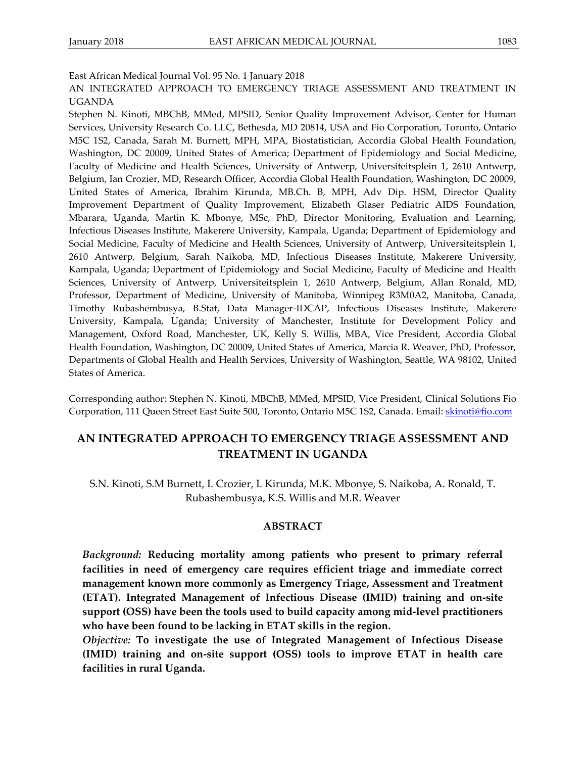East African Medical Journal Vol. 95 No. 1 January 2018

AN INTEGRATED APPROACH TO EMERGENCY TRIAGE ASSESSMENT AND TREATMENT IN UGANDA

Stephen N. Kinoti, MBChB, MMed, MPSID, Senior Quality Improvement Advisor, Center for Human Services, University Research Co. LLC, Bethesda, MD 20814, USA and Fio Corporation, Toronto, Ontario M5C 1S2, Canada, Sarah M. Burnett, MPH, MPA, Biostatistician, Accordia Global Health Foundation, Washington, DC 20009, United States of America; Department of Epidemiology and Social Medicine, Faculty of Medicine and Health Sciences, University of Antwerp, Universiteitsplein 1, 2610 Antwerp, Belgium, Ian Crozier, MD, Research Officer, Accordia Global Health Foundation, Washington, DC 20009, United States of America, Ibrahim Kirunda, MB.Ch. B, MPH, Adv Dip. HSM, Director Quality Improvement Department of Quality Improvement, Elizabeth Glaser Pediatric AIDS Foundation, Mbarara, Uganda, Martin K. Mbonye, MSc, PhD, Director Monitoring, Evaluation and Learning, Infectious Diseases Institute, Makerere University, Kampala, Uganda; Department of Epidemiology and Social Medicine, Faculty of Medicine and Health Sciences, University of Antwerp, Universiteitsplein 1, 2610 Antwerp, Belgium, Sarah Naikoba, MD, Infectious Diseases Institute, Makerere University, Kampala, Uganda; Department of Epidemiology and Social Medicine, Faculty of Medicine and Health Sciences, University of Antwerp, Universiteitsplein 1, 2610 Antwerp, Belgium, Allan Ronald, MD, Professor, Department of Medicine, University of Manitoba, Winnipeg R3M0A2, Manitoba, Canada, Timothy Rubashembusya, B.Stat, Data Manager-IDCAP, Infectious Diseases Institute, Makerere University, Kampala, Uganda; University of Manchester, Institute for Development Policy and Management, Oxford Road, Manchester, UK, Kelly S. Willis, MBA, Vice President, Accordia Global Health Foundation, Washington, DC 20009, United States of America, Marcia R. Weaver, PhD, Professor, Departments of Global Health and Health Services, University of Washington, Seattle, WA 98102, United States of America.

Corresponding author: Stephen N. Kinoti, MBChB, MMed, MPSID, Vice President, Clinical Solutions Fio Corporation, 111 Queen Street East Suite 500, Toronto, Ontario M5C 1S2, Canada. Email[: skinoti@fio.com](mailto:skinoti@fio.com)

# **AN INTEGRATED APPROACH TO EMERGENCY TRIAGE ASSESSMENT AND TREATMENT IN UGANDA**

S.N. Kinoti, S.M Burnett, I. Crozier, I. Kirunda, M.K. Mbonye, S. Naikoba, A. Ronald, T. Rubashembusya, K.S. Willis and M.R. Weaver

### **ABSTRACT**

*Background:* **Reducing mortality among patients who present to primary referral facilities in need of emergency care requires efficient triage and immediate correct management known more commonly as Emergency Triage, Assessment and Treatment (ETAT). Integrated Management of Infectious Disease (IMID) training and on-site support (OSS) have been the tools used to build capacity among mid-level practitioners who have been found to be lacking in ETAT skills in the region.** 

*Objective:* **To investigate the use of Integrated Management of Infectious Disease (IMID) training and on-site support (OSS) tools to improve ETAT in health care facilities in rural Uganda.**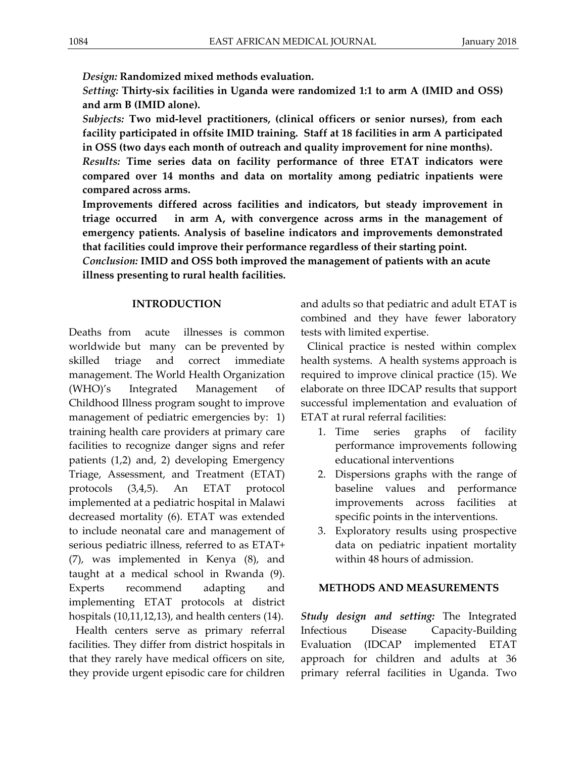*Design:* **Randomized mixed methods evaluation.**

*Setting:* **Thirty-six facilities in Uganda were randomized 1:1 to arm A (IMID and OSS) and arm B (IMID alone).** 

*Subjects:* **Two mid-level practitioners, (clinical officers or senior nurses), from each facility participated in offsite IMID training. Staff at 18 facilities in arm A participated in OSS (two days each month of outreach and quality improvement for nine months).** 

*Results:* **Time series data on facility performance of three ETAT indicators were compared over 14 months and data on mortality among pediatric inpatients were compared across arms.**

**Improvements differed across facilities and indicators, but steady improvement in triage occurred in arm A, with convergence across arms in the management of emergency patients. Analysis of baseline indicators and improvements demonstrated that facilities could improve their performance regardless of their starting point.**

*Conclusion:* **IMID and OSS both improved the management of patients with an acute illness presenting to rural health facilities.**

# **INTRODUCTION**

Deaths from acute illnesses is common worldwide but many can be prevented by skilled triage and correct immediate management. The World Health Organization (WHO)'s Integrated Management of Childhood Illness program sought to improve management of pediatric emergencies by: 1) training health care providers at primary care facilities to recognize danger signs and refer patients (1,2) and, 2) developing Emergency Triage, Assessment, and Treatment (ETAT) protocols (3,4,5). An ETAT protocol implemented at a pediatric hospital in Malawi decreased mortality (6). ETAT was extended to include neonatal care and management of serious pediatric illness, referred to as ETAT+ (7), was implemented in Kenya (8), and taught at a medical school in Rwanda (9). Experts recommend adapting and implementing ETAT protocols at district hospitals (10,11,12,13), and health centers (14).

Health centers serve as primary referral facilities. They differ from district hospitals in that they rarely have medical officers on site, they provide urgent episodic care for children and adults so that pediatric and adult ETAT is combined and they have fewer laboratory tests with limited expertise.

Clinical practice is nested within complex health systems. A health systems approach is required to improve clinical practice (15). We elaborate on three IDCAP results that support successful implementation and evaluation of ETAT at rural referral facilities:

- 1. Time series graphs of facility performance improvements following educational interventions
- 2. Dispersions graphs with the range of baseline values and performance improvements across facilities at specific points in the interventions.
- 3. Exploratory results using prospective data on pediatric inpatient mortality within 48 hours of admission.

# **METHODS AND MEASUREMENTS**

*Study design and setting:* The Integrated Infectious Disease Capacity-Building Evaluation (IDCAP implemented ETAT approach for children and adults at 36 primary referral facilities in Uganda. Two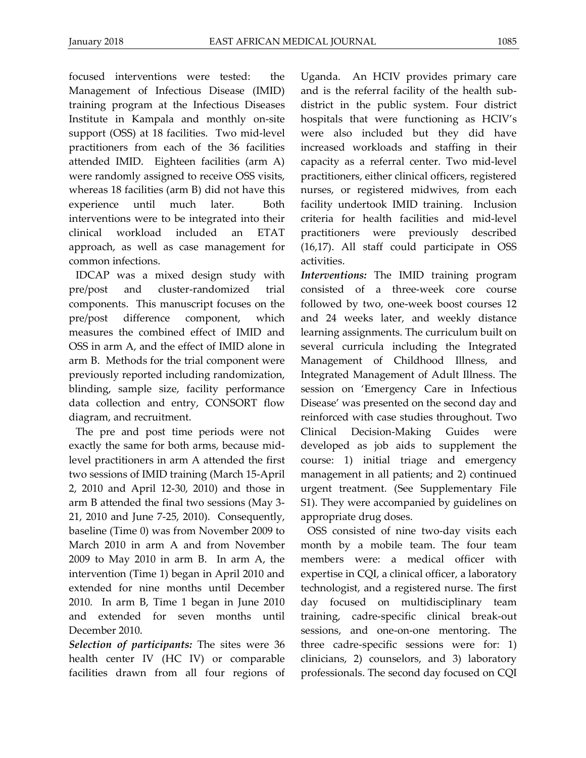focused interventions were tested: the Management of Infectious Disease (IMID) training program at the Infectious Diseases Institute in Kampala and monthly on-site support (OSS) at 18 facilities. Two mid-level practitioners from each of the 36 facilities attended IMID. Eighteen facilities (arm A) were randomly assigned to receive OSS visits, whereas 18 facilities (arm B) did not have this experience until much later. Both interventions were to be integrated into their clinical workload included an ETAT approach, as well as case management for common infections.

IDCAP was a mixed design study with pre/post and cluster-randomized trial components. This manuscript focuses on the pre/post difference component, which measures the combined effect of IMID and OSS in arm A, and the effect of IMID alone in arm B. Methods for the trial component were previously reported including randomization, blinding, sample size, facility performance data collection and entry, CONSORT flow diagram, and recruitment.

The pre and post time periods were not exactly the same for both arms, because midlevel practitioners in arm A attended the first two sessions of IMID training (March 15-April 2, 2010 and April 12-30, 2010) and those in arm B attended the final two sessions (May 3- 21, 2010 and June 7-25, 2010). Consequently, baseline (Time 0) was from November 2009 to March 2010 in arm A and from November 2009 to May 2010 in arm B. In arm A, the intervention (Time 1) began in April 2010 and extended for nine months until December 2010. In arm B, Time 1 began in June 2010 and extended for seven months until December 2010.

*Selection of participants:* The sites were 36 health center IV (HC IV) or comparable facilities drawn from all four regions of Uganda. An HCIV provides primary care and is the referral facility of the health subdistrict in the public system. Four district hospitals that were functioning as HCIV's were also included but they did have increased workloads and staffing in their capacity as a referral center. Two mid-level practitioners, either clinical officers, registered nurses, or registered midwives, from each facility undertook IMID training. Inclusion criteria for health facilities and mid-level practitioners were previously described (16,17). All staff could participate in OSS activities.

*Interventions:* The IMID training program consisted of a three-week core course followed by two, one-week boost courses 12 and 24 weeks later, and weekly distance learning assignments. The curriculum built on several curricula including the Integrated Management of Childhood Illness, and Integrated Management of Adult Illness. The session on 'Emergency Care in Infectious Disease' was presented on the second day and reinforced with case studies throughout. Two Clinical Decision-Making Guides were developed as job aids to supplement the course: 1) initial triage and emergency management in all patients; and 2) continued urgent treatment. (See Supplementary File S1). They were accompanied by guidelines on appropriate drug doses.

OSS consisted of nine two-day visits each month by a mobile team. The four team members were: a medical officer with expertise in CQI, a clinical officer, a laboratory technologist, and a registered nurse. The first day focused on multidisciplinary team training, cadre-specific clinical break-out sessions, and one-on-one mentoring. The three cadre-specific sessions were for: 1) clinicians, 2) counselors, and 3) laboratory professionals. The second day focused on CQI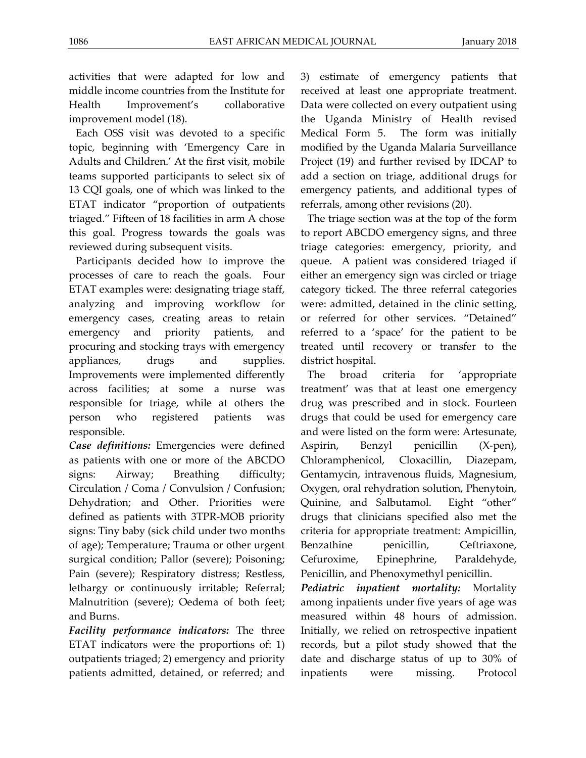activities that were adapted for low and middle income countries from the Institute for Health Improvement's collaborative improvement model (18).

Each OSS visit was devoted to a specific topic, beginning with 'Emergency Care in Adults and Children.' At the first visit, mobile teams supported participants to select six of 13 CQI goals, one of which was linked to the ETAT indicator "proportion of outpatients triaged." Fifteen of 18 facilities in arm A chose this goal. Progress towards the goals was reviewed during subsequent visits.

Participants decided how to improve the processes of care to reach the goals. Four ETAT examples were: designating triage staff, analyzing and improving workflow for emergency cases, creating areas to retain emergency and priority patients, and procuring and stocking trays with emergency appliances, drugs and supplies. Improvements were implemented differently across facilities; at some a nurse was responsible for triage, while at others the person who registered patients was responsible.

*Case definitions:* Emergencies were defined as patients with one or more of the ABCDO signs: Airway; Breathing difficulty; Circulation / Coma / Convulsion / Confusion; Dehydration; and Other. Priorities were defined as patients with 3TPR-MOB priority signs: Tiny baby (sick child under two months of age); Temperature; Trauma or other urgent surgical condition; Pallor (severe); Poisoning; Pain (severe); Respiratory distress; Restless, lethargy or continuously irritable; Referral; Malnutrition (severe); Oedema of both feet; and Burns.

*Facility performance indicators:* The three ETAT indicators were the proportions of: 1) outpatients triaged; 2) emergency and priority patients admitted, detained, or referred; and 3) estimate of emergency patients that received at least one appropriate treatment. Data were collected on every outpatient using the Uganda Ministry of Health revised Medical Form 5. The form was initially modified by the Uganda Malaria Surveillance Project (19) and further revised by IDCAP to add a section on triage, additional drugs for emergency patients, and additional types of referrals, among other revisions (20).

The triage section was at the top of the form to report ABCDO emergency signs, and three triage categories: emergency, priority, and queue. A patient was considered triaged if either an emergency sign was circled or triage category ticked. The three referral categories were: admitted, detained in the clinic setting, or referred for other services. "Detained" referred to a 'space' for the patient to be treated until recovery or transfer to the district hospital.

The broad criteria for 'appropriate treatment' was that at least one emergency drug was prescribed and in stock. Fourteen drugs that could be used for emergency care and were listed on the form were: Artesunate, Aspirin, Benzyl penicillin (X-pen), Chloramphenicol, Cloxacillin, Diazepam, Gentamycin, intravenous fluids, Magnesium, Oxygen, oral rehydration solution, Phenytoin, Quinine, and Salbutamol. Eight "other" drugs that clinicians specified also met the criteria for appropriate treatment: Ampicillin, Benzathine penicillin, Ceftriaxone, Cefuroxime, Epinephrine, Paraldehyde, Penicillin, and Phenoxymethyl penicillin.

*Pediatric inpatient mortality:* Mortality among inpatients under five years of age was measured within 48 hours of admission. Initially, we relied on retrospective inpatient records, but a pilot study showed that the date and discharge status of up to 30% of inpatients were missing. Protocol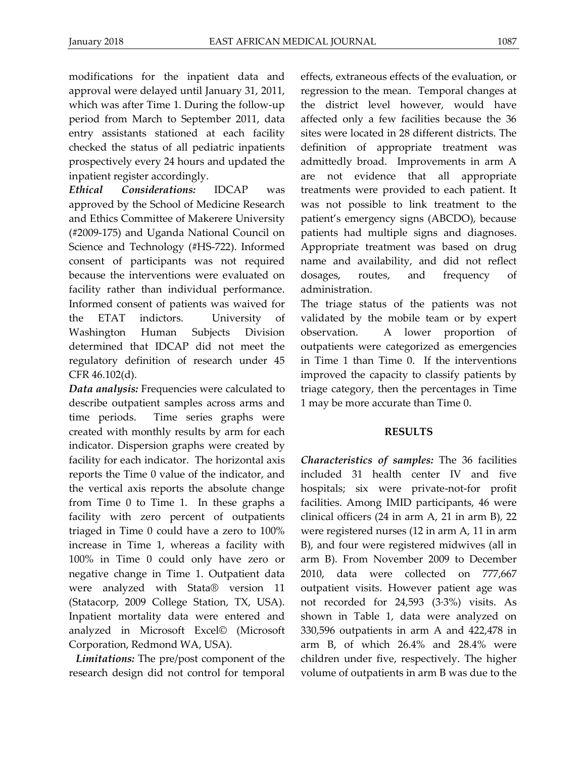modifications for the inpatient data and approval were delayed until January 31, 2011, which was after Time 1. During the follow-up period from March to September 2011, data entry assistants stationed at each facility checked the status of all pediatric inpatients prospectively every 24 hours and updated the inpatient register accordingly.

*Ethical Considerations:* IDCAP was approved by the School of Medicine Research and Ethics Committee of Makerere University (#2009-175) and Uganda National Council on Science and Technology (#HS-722). Informed consent of participants was not required because the interventions were evaluated on facility rather than individual performance. Informed consent of patients was waived for the ETAT indictors. University of Washington Human Subjects Division determined that IDCAP did not meet the regulatory definition of research under 45 CFR 46.102(d).

*Data analysis:* Frequencies were calculated to describe outpatient samples across arms and time periods. Time series graphs were created with monthly results by arm for each indicator. Dispersion graphs were created by facility for each indicator. The horizontal axis reports the Time 0 value of the indicator, and the vertical axis reports the absolute change from Time 0 to Time 1. In these graphs a facility with zero percent of outpatients triaged in Time 0 could have a zero to 100% increase in Time 1, whereas a facility with 100% in Time 0 could only have zero or negative change in Time 1. Outpatient data were analyzed with Stata® version 11 (Statacorp, 2009 College Station, TX, USA). Inpatient mortality data were entered and analyzed in Microsoft Excel© (Microsoft Corporation, Redmond WA, USA).

*Limitations:* The pre/post component of the research design did not control for temporal

effects, extraneous effects of the evaluation, or regression to the mean. Temporal changes at the district level however, would have affected only a few facilities because the 36 sites were located in 28 different districts. The definition of appropriate treatment was admittedly broad. Improvements in arm A are not evidence that all appropriate treatments were provided to each patient. It was not possible to link treatment to the patient's emergency signs (ABCDO), because patients had multiple signs and diagnoses. Appropriate treatment was based on drug name and availability, and did not reflect dosages, routes, and frequency of administration.

The triage status of the patients was not validated by the mobile team or by expert observation. A lower proportion of outpatients were categorized as emergencies in Time 1 than Time 0. If the interventions improved the capacity to classify patients by triage category, then the percentages in Time 1 may be more accurate than Time 0.

# **RESULTS**

*Characteristics of samples:* The 36 facilities included 31 health center IV and five hospitals; six were private-not-for profit facilities. Among IMID participants, 46 were clinical officers (24 in arm A, 21 in arm B), 22 were registered nurses (12 in arm A, 11 in arm B), and four were registered midwives (all in arm B). From November 2009 to December 2010, data were collected on 777,667 outpatient visits. However patient age was not recorded for 24,593 (3·3%) visits. As shown in Table 1, data were analyzed on 330,596 outpatients in arm A and 422,478 in arm B, of which 26.4% and 28.4% were children under five, respectively. The higher volume of outpatients in arm B was due to the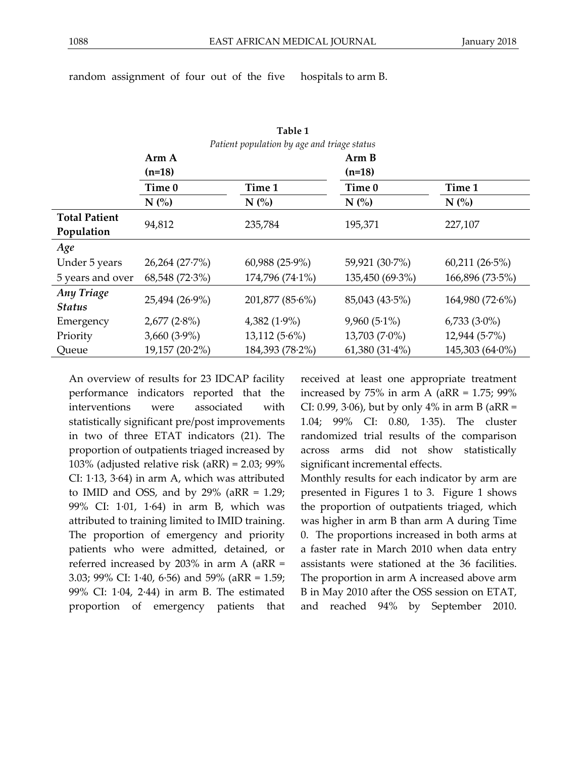**Table 1**

# random assignment of four out of the five hospitals to arm B.

| Patient population by age and triage status |                |                  |                  |                                |
|---------------------------------------------|----------------|------------------|------------------|--------------------------------|
|                                             | Arm A          |                  | Arm B            |                                |
|                                             | $(n=18)$       |                  | $(n=18)$         |                                |
|                                             | Time 0         | Time 1           | Time 0           | Time 1                         |
|                                             | N(%            | N(%              | N(%              | $N$ $\left(\frac{0}{0}\right)$ |
| <b>Total Patient</b>                        | 94,812         | 235,784          | 195,371          | 227,107                        |
| Population                                  |                |                  |                  |                                |
| Age                                         |                |                  |                  |                                |
| Under 5 years                               | 26,264 (27.7%) | $60,988$ (25.9%) | 59,921 (30.7%)   | $60,211(26.5\%)$               |
| 5 years and over                            | 68,548 (72.3%) | 174,796 (74.1%)  | 135,450 (69.3%)  | 166,896 (73.5%)                |
| <b>Any Triage</b><br><b>Status</b>          | 25,494 (26.9%) | 201,877 (85.6%)  | 85,043 (43.5%)   | 164,980(72.6%)                 |
| Emergency                                   | $2,677(2.8\%)$ | $4,382(1.9\%)$   | $9,960(5.1\%)$   | $6,733(3.0\%)$                 |
| Priority                                    | $3,660(3.9\%)$ | $13,112(5.6\%)$  | $13,703(7.0\%)$  | $12,944(5.7\%)$                |
| Queue                                       | 19,157 (20.2%) | 184,393 (78.2%)  | $61,380(31.4\%)$ | 145,303 (64.0%)                |

interventions were associated with statistically significant pre/post improvements in two of three ETAT indicators (21). The proportion of outpatients triaged increased by 103% (adjusted relative risk (aRR) = 2.03; 99% CI: 1·13, 3·64) in arm A, which was attributed to IMID and OSS, and by  $29\%$  (aRR = 1.29; 99% CI: 1·01, 1·64) in arm B, which was attributed to training limited to IMID training. The proportion of emergency and priority patients who were admitted, detained, or referred increased by 203% in arm A (aRR = 3.03; 99% CI: 1·40, 6·56) and 59% (aRR = 1.59;

99% CI: 1·04, 2·44) in arm B. The estimated proportion of emergency patients that

An overview of results for 23 IDCAP facility performance indicators reported that the received at least one appropriate treatment increased by  $75\%$  in arm A (aRR = 1.75;  $99\%$ CI: 0.99, 3 $\cdot$ 06), but by only 4% in arm B (aRR = 1.04; 99% CI: 0.80, 1·35). The cluster randomized trial results of the comparison across arms did not show statistically significant incremental effects.

Monthly results for each indicator by arm are presented in Figures 1 to 3. Figure 1 shows the proportion of outpatients triaged, which was higher in arm B than arm A during Time 0. The proportions increased in both arms at a faster rate in March 2010 when data entry assistants were stationed at the 36 facilities. The proportion in arm A increased above arm B in May 2010 after the OSS session on ETAT, and reached 94% by September 2010.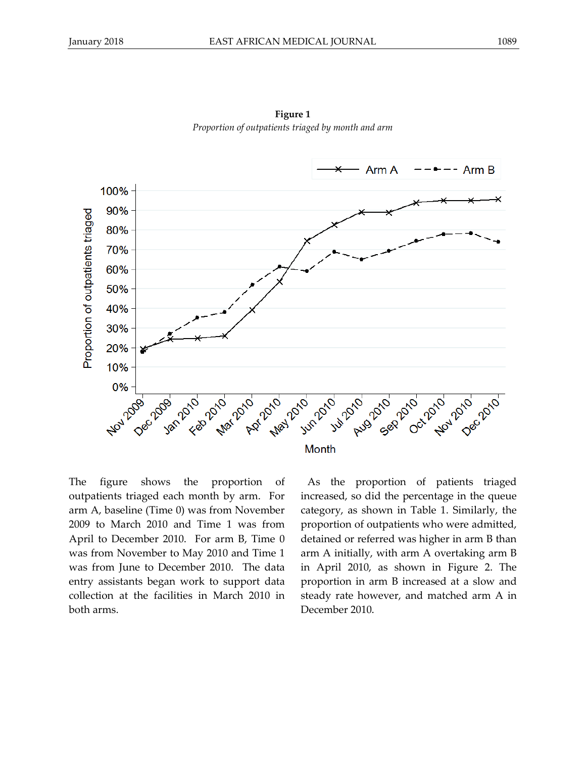

**Figure 1** *Proportion of outpatients triaged by month and arm*

The figure shows the proportion of outpatients triaged each month by arm. For arm A, baseline (Time 0) was from November 2009 to March 2010 and Time 1 was from April to December 2010. For arm B, Time 0 was from November to May 2010 and Time 1 was from June to December 2010. The data entry assistants began work to support data collection at the facilities in March 2010 in both arms.

As the proportion of patients triaged increased, so did the percentage in the queue category, as shown in Table 1. Similarly, the proportion of outpatients who were admitted, detained or referred was higher in arm B than arm A initially, with arm A overtaking arm B in April 2010, as shown in Figure 2. The proportion in arm B increased at a slow and steady rate however, and matched arm A in December 2010.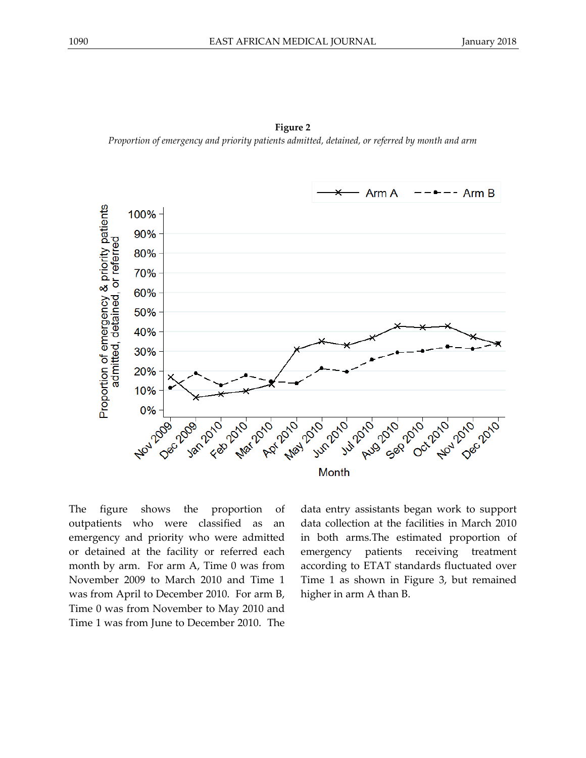



The figure shows the proportion of outpatients who were classified as an emergency and priority who were admitted or detained at the facility or referred each month by arm. For arm A, Time 0 was from November 2009 to March 2010 and Time 1 was from April to December 2010. For arm B, Time 0 was from November to May 2010 and Time 1 was from June to December 2010. The

data entry assistants began work to support data collection at the facilities in March 2010 in both arms.The estimated proportion of emergency patients receiving treatment according to ETAT standards fluctuated over Time 1 as shown in Figure 3, but remained higher in arm A than B.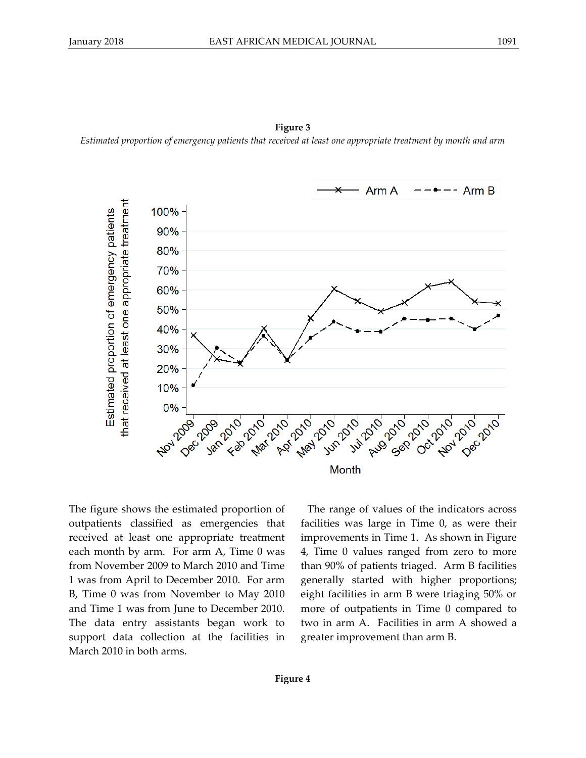

**Figure 3** *Estimated proportion of emergency patients that received at least one appropriate treatment by month and arm*

The figure shows the estimated proportion of outpatients classified as emergencies that received at least one appropriate treatment each month by arm. For arm A, Time 0 was from November 2009 to March 2010 and Time 1 was from April to December 2010. For arm B, Time 0 was from November to May 2010 and Time 1 was from June to December 2010. The data entry assistants began work to support data collection at the facilities in March 2010 in both arms.

The range of values of the indicators across facilities was large in Time 0, as were their improvements in Time 1. As shown in Figure 4, Time 0 values ranged from zero to more than 90% of patients triaged. Arm B facilities generally started with higher proportions; eight facilities in arm B were triaging 50% or more of outpatients in Time 0 compared to two in arm A. Facilities in arm A showed a greater improvement than arm B.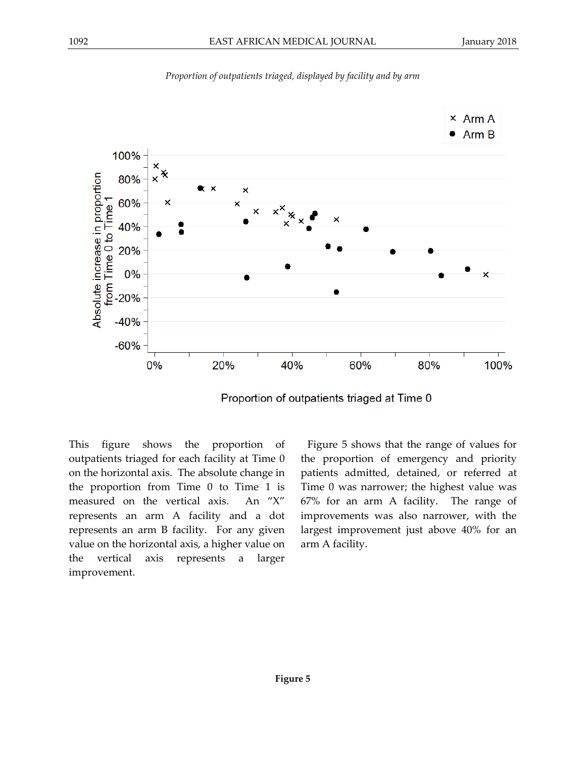

*Proportion of outpatients triaged, displayed by facility and by arm*

Proportion of outpatients triaged at Time 0

This figure shows the proportion of outpatients triaged for each facility at Time 0 on the horizontal axis. The absolute change in the proportion from Time 0 to Time 1 is measured on the vertical axis. An "X" represents an arm A facility and a dot represents an arm B facility. For any given value on the horizontal axis, a higher value on the vertical axis represents a larger improvement.

Figure 5 shows that the range of values for the proportion of emergency and priority patients admitted, detained, or referred at Time 0 was narrower; the highest value was 67% for an arm A facility. The range of improvements was also narrower, with the largest improvement just above 40% for an arm A facility.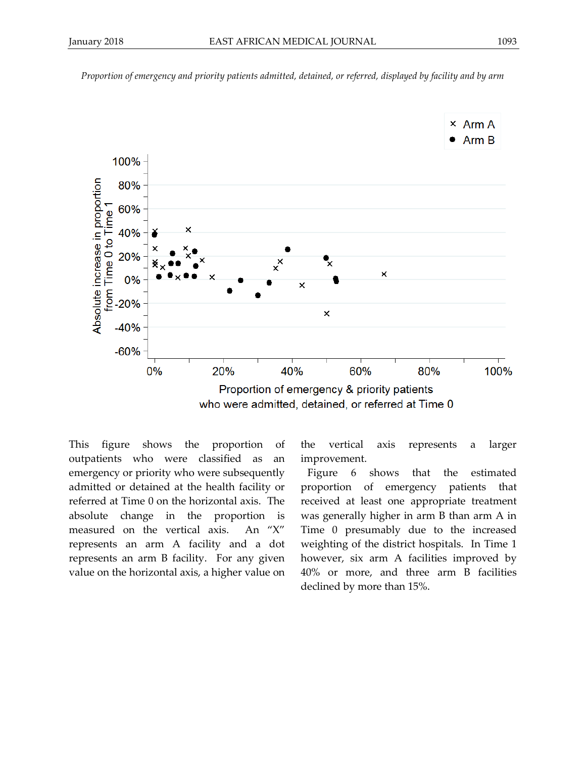

*Proportion of emergency and priority patients admitted, detained, or referred, displayed by facility and by arm*

who were admitted, detained, or referred at Time 0

This figure shows the proportion of outpatients who were classified as an emergency or priority who were subsequently admitted or detained at the health facility or referred at Time 0 on the horizontal axis. The absolute change in the proportion is measured on the vertical axis. An "X" represents an arm A facility and a dot represents an arm B facility. For any given value on the horizontal axis, a higher value on

the vertical axis represents a larger improvement.

Figure 6 shows that the estimated proportion of emergency patients that received at least one appropriate treatment was generally higher in arm B than arm A in Time 0 presumably due to the increased weighting of the district hospitals. In Time 1 however, six arm A facilities improved by 40% or more, and three arm B facilities declined by more than 15%.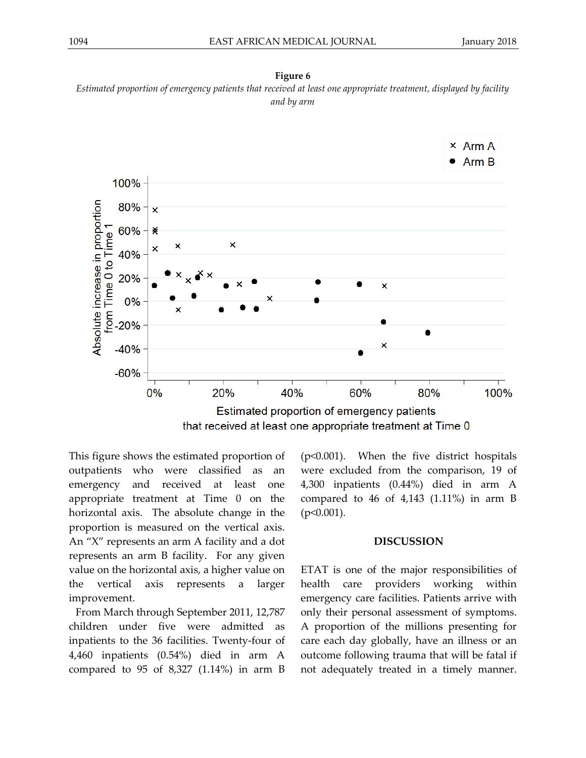



This figure shows the estimated proportion of outpatients who were classified as an emergency and received at least one appropriate treatment at Time 0 on the horizontal axis. The absolute change in the proportion is measured on the vertical axis. An "X" represents an arm A facility and a dot represents an arm B facility. For any given value on the horizontal axis, a higher value on the vertical axis represents a larger improvement.

From March through September 2011, 12,787 children under five were admitted as inpatients to the 36 facilities. Twenty-four of 4,460 inpatients (0.54%) died in arm A compared to 95 of 8,327 (1.14%) in arm B (p<0.001). When the five district hospitals were excluded from the comparison, 19 of 4,300 inpatients (0.44%) died in arm A compared to 46 of 4,143  $(1.11\%)$  in arm B  $(p<0.001)$ .

#### **DISCUSSION**

ETAT is one of the major responsibilities of health care providers working within emergency care facilities. Patients arrive with only their personal assessment of symptoms. A proportion of the millions presenting for care each day globally, have an illness or an outcome following trauma that will be fatal if not adequately treated in a timely manner.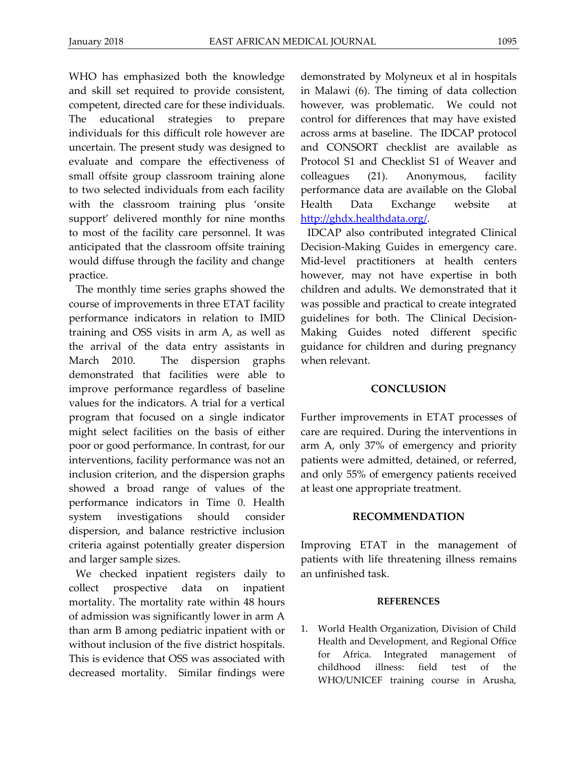WHO has emphasized both the knowledge and skill set required to provide consistent, competent, directed care for these individuals. The educational strategies to prepare individuals for this difficult role however are uncertain. The present study was designed to evaluate and compare the effectiveness of small offsite group classroom training alone to two selected individuals from each facility with the classroom training plus 'onsite support' delivered monthly for nine months to most of the facility care personnel. It was anticipated that the classroom offsite training would diffuse through the facility and change practice.

The monthly time series graphs showed the course of improvements in three ETAT facility performance indicators in relation to IMID training and OSS visits in arm A, as well as the arrival of the data entry assistants in March 2010. The dispersion graphs demonstrated that facilities were able to improve performance regardless of baseline values for the indicators. A trial for a vertical program that focused on a single indicator might select facilities on the basis of either poor or good performance. In contrast, for our interventions, facility performance was not an inclusion criterion, and the dispersion graphs showed a broad range of values of the performance indicators in Time 0. Health system investigations should consider dispersion, and balance restrictive inclusion criteria against potentially greater dispersion and larger sample sizes.

We checked inpatient registers daily to collect prospective data on inpatient mortality. The mortality rate within 48 hours of admission was significantly lower in arm A than arm B among pediatric inpatient with or without inclusion of the five district hospitals. This is evidence that OSS was associated with decreased mortality. Similar findings were

demonstrated by Molyneux et al in hospitals in Malawi (6). The timing of data collection however, was problematic. We could not control for differences that may have existed across arms at baseline. The IDCAP protocol and CONSORT checklist are available as Protocol S1 and Checklist S1 of Weaver and colleagues (21). Anonymous, facility performance data are available on the Global Health Data Exchange website at [http://ghdx.healthdata.org/.](http://ghdx.healthdata.org/)

IDCAP also contributed integrated Clinical Decision-Making Guides in emergency care. Mid-level practitioners at health centers however, may not have expertise in both children and adults. We demonstrated that it was possible and practical to create integrated guidelines for both. The Clinical Decision-Making Guides noted different specific guidance for children and during pregnancy when relevant.

### **CONCLUSION**

Further improvements in ETAT processes of care are required. During the interventions in arm A, only 37% of emergency and priority patients were admitted, detained, or referred, and only 55% of emergency patients received at least one appropriate treatment.

#### **RECOMMENDATION**

Improving ETAT in the management of patients with life threatening illness remains an unfinished task.

#### **REFERENCES**

1. World Health Organization, Division of Child Health and Development, and Regional Office for Africa. Integrated management of childhood illness: field test of the WHO/UNICEF training course in Arusha,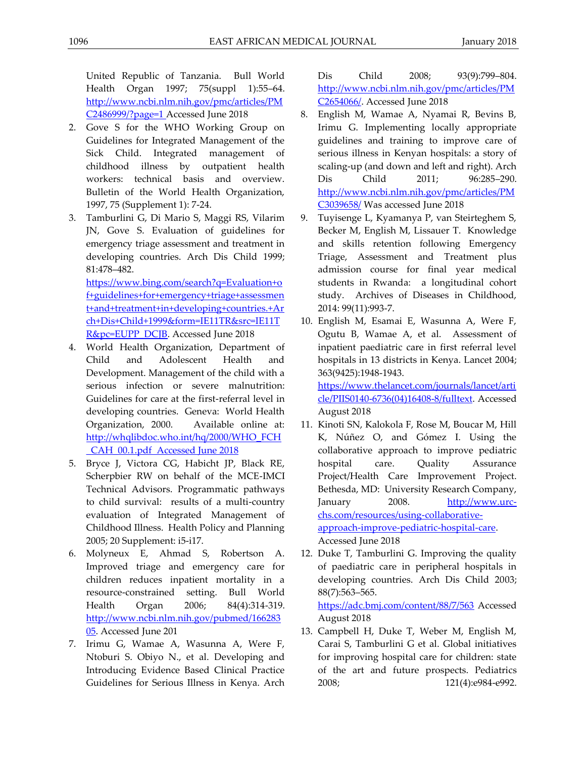United Republic of Tanzania. Bull World Health Organ 1997; 75(suppl 1):55–64. [http://www.ncbi.nlm.nih.gov/pmc/articles/PM](http://www.ncbi.nlm.nih.gov/pmc/articles/PMC2486999/?page=1) [C2486999/?page=1](http://www.ncbi.nlm.nih.gov/pmc/articles/PMC2486999/?page=1) Accessed June 2018

- 2. Gove S for the WHO Working Group on Guidelines for Integrated Management of the Sick Child. Integrated management of childhood illness by outpatient health workers: technical basis and overview. Bulletin of the World Health Organization, 1997, 75 (Supplement 1): 7-24.
- 3. Tamburlini G, Di Mario S, Maggi RS, Vilarim JN, Gove S. Evaluation of guidelines for emergency triage assessment and treatment in developing countries. Arch Dis Child 1999; 81:478–482. [https://www.bing.com/search?q=Evaluation+o](https://www.bing.com/search?q=Evaluation+of+guidelines+for+emergency+triage+assessment+and+treatment+in+developing+countries.+Arch+Dis+Child+1999&form=IE11TR&src=IE11TR&pc=EUPP_DCJB)

[f+guidelines+for+emergency+triage+assessmen](https://www.bing.com/search?q=Evaluation+of+guidelines+for+emergency+triage+assessment+and+treatment+in+developing+countries.+Arch+Dis+Child+1999&form=IE11TR&src=IE11TR&pc=EUPP_DCJB) [t+and+treatment+in+developing+countries.+Ar](https://www.bing.com/search?q=Evaluation+of+guidelines+for+emergency+triage+assessment+and+treatment+in+developing+countries.+Arch+Dis+Child+1999&form=IE11TR&src=IE11TR&pc=EUPP_DCJB) [ch+Dis+Child+1999&form=IE11TR&src=IE11T](https://www.bing.com/search?q=Evaluation+of+guidelines+for+emergency+triage+assessment+and+treatment+in+developing+countries.+Arch+Dis+Child+1999&form=IE11TR&src=IE11TR&pc=EUPP_DCJB) [R&pc=EUPP\\_DCJB.](https://www.bing.com/search?q=Evaluation+of+guidelines+for+emergency+triage+assessment+and+treatment+in+developing+countries.+Arch+Dis+Child+1999&form=IE11TR&src=IE11TR&pc=EUPP_DCJB) Accessed June 2018

- 4. World Health Organization, Department of Child and Adolescent Health and Development. Management of the child with a serious infection or severe malnutrition: Guidelines for care at the first-referral level in developing countries. Geneva: World Health Organization, 2000. Available online at: [http://whqlibdoc.who.int/hq/2000/WHO\\_FCH](http://whqlibdoc.who.int/hq/2000/WHO_FCH_CAH_00.1.pdf) [\\_CAH\\_00.1.pdf](http://whqlibdoc.who.int/hq/2000/WHO_FCH_CAH_00.1.pdf) Accessed June 2018
- 5. Bryce J, Victora CG, Habicht JP, Black RE, Scherpbier RW on behalf of the MCE-IMCI Technical Advisors. Programmatic pathways to child survival: results of a multi-country evaluation of Integrated Management of Childhood Illness. Health Policy and Planning 2005; 20 Supplement: i5-i17.
- 6. Molyneux E, Ahmad S, Robertson A. Improved triage and emergency care for children reduces inpatient mortality in a resource-constrained setting. Bull World Health Organ 2006; 84(4):314-319. [http://www.ncbi.nlm.nih.gov/pubmed/166283](http://www.ncbi.nlm.nih.gov/pubmed/16628305) [05.](http://www.ncbi.nlm.nih.gov/pubmed/16628305) Accessed June 201
- 7. Irimu G, Wamae A, Wasunna A, Were F, Ntoburi S. Obiyo N., et al. Developing and Introducing Evidence Based Clinical Practice Guidelines for Serious Illness in Kenya. Arch

Dis Child 2008; 93(9):799–804. [http://www.ncbi.nlm.nih.gov/pmc/articles/PM](http://www.ncbi.nlm.nih.gov/pmc/articles/PMC2654066/) [C2654066/.](http://www.ncbi.nlm.nih.gov/pmc/articles/PMC2654066/) Accessed June 2018

- 8. English M, Wamae A, Nyamai R, Bevins B, Irimu G. Implementing locally appropriate guidelines and training to improve care of serious illness in Kenyan hospitals: a story of scaling-up (and down and left and right). Arch Dis Child 2011; 96:285–290. [http://www.ncbi.nlm.nih.gov/pmc/articles/PM](http://www.ncbi.nlm.nih.gov/pmc/articles/PMC3039658/) [C3039658/](http://www.ncbi.nlm.nih.gov/pmc/articles/PMC3039658/) Was accessed June 2018
- 9. Tuyisenge L, Kyamanya P, van Steirteghem S, Becker M, English M, Lissauer T. Knowledge and skills retention following Emergency Triage, Assessment and Treatment plus admission course for final year medical students in Rwanda: a longitudinal cohort study. Archives of Diseases in Childhood, 2014: 99(11):993-7.
- 10. English M, Esamai E, Wasunna A, Were F, Ogutu B, Wamae A, et al. Assessment of inpatient paediatric care in first referral level hospitals in 13 districts in Kenya. Lancet 2004; 363(9425):1948-1943.

https://www.thelancet.com/journals/lancet/arti cle/PIIS0140-6736(04)16408-8/fulltext. Accessed August 2018

- 11. Kinoti SN, Kalokola F, Rose M, Boucar M, Hill K, Núñez O, and Gómez I. Using the collaborative approach to improve pediatric hospital care. Quality Assurance Project/Health Care Improvement Project. Bethesda, MD: University Research Company, January 2008. [http://www.urc](http://www.urc-chs.com/resources/using-collaborative-approach-improve-pediatric-hospital-care)[chs.com/resources/using-collaborative](http://www.urc-chs.com/resources/using-collaborative-approach-improve-pediatric-hospital-care)[approach-improve-pediatric-hospital-care.](http://www.urc-chs.com/resources/using-collaborative-approach-improve-pediatric-hospital-care) Accessed June 2018
- 12. Duke T, Tamburlini G. Improving the quality of paediatric care in peripheral hospitals in developing countries. Arch Dis Child 2003; 88(7):563–565. https://adc.bmj.com/content/88/7/563 Accessed August 2018
- 13. Campbell H, Duke T, Weber M, English M, Carai S, Tamburlini G et al. Global initiatives for improving hospital care for children: state of the art and future prospects. Pediatrics 2008; 121(4):e984-e992.